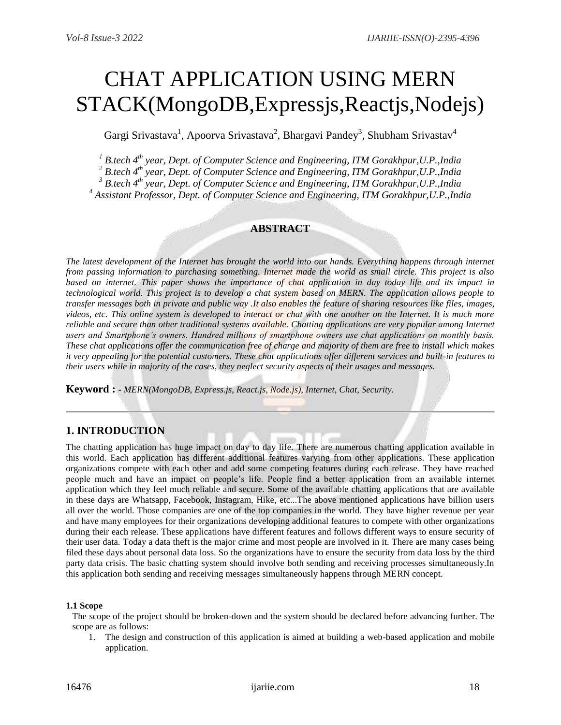# CHAT APPLICATION USING MERN STACK(MongoDB,Expressjs,Reactjs,Nodejs)

Gargi Srivastava<sup>1</sup>, Apoorva Srivastava<sup>2</sup>, Bhargavi Pandey<sup>3</sup>, Shubham Srivastav<sup>4</sup>

*<sup>1</sup> B.tech 4th year, Dept. of Computer Science and Engineering, ITM Gorakhpur,U.P.,India*

*<sup>2</sup> B.tech 4th year, Dept. of Computer Science and Engineering, ITM Gorakhpur,U.P.,India*

*<sup>3</sup> B.tech 4th year, Dept. of Computer Science and Engineering, ITM Gorakhpur,U.P.,India*

*<sup>4</sup> Assistant Professor, Dept. of Computer Science and Engineering, ITM Gorakhpur,U.P.,India*

## **ABSTRACT**

*The latest development of the Internet has brought the world into our hands. Everything happens through internet from passing information to purchasing something. Internet made the world as small circle. This project is also based on internet. This paper shows the importance of chat application in day today life and its impact in technological world. This project is to develop a chat system based on MERN. The application allows people to transfer messages both in private and public way .It also enables the feature of sharing resources like files, images, videos, etc. This online system is developed to interact or chat with one another on the Internet. It is much more reliable and secure than other traditional systems available. Chatting applications are very popular among Internet users and Smartphone's owners. Hundred millions of smartphone owners use chat applications on monthly basis. These chat applications offer the communication free of charge and majority of them are free to install which makes it very appealing for the potential customers. These chat applications offer different services and built-in features to their users while in majority of the cases, they neglect security aspects of their usages and messages.*

**Keyword : -** *MERN(MongoDB, Express.js, React.js, Node.js), Internet, Chat, Security.*

## **1. INTRODUCTION**

The chatting application has huge impact on day to day life. There are numerous chatting application available in this world. Each application has different additional features varying from other applications. These application organizations compete with each other and add some competing features during each release. They have reached people much and have an impact on people's life. People find a better application from an available internet application which they feel much reliable and secure. Some of the available chatting applications that are available in these days are Whatsapp, Facebook, Instagram, Hike, etc...The above mentioned applications have billion users all over the world. Those companies are one of the top companies in the world. They have higher revenue per year and have many employees for their organizations developing additional features to compete with other organizations during their each release. These applications have different features and follows different ways to ensure security of their user data. Today a data theft is the major crime and most people are involved in it. There are many cases being filed these days about personal data loss. So the organizations have to ensure the security from data loss by the third party data crisis. The basic chatting system should involve both sending and receiving processes simultaneously.In this application both sending and receiving messages simultaneously happens through MERN concept.

#### **1.1 Scope**

The scope of the project should be broken-down and the system should be declared before advancing further. The scope are as follows:

1. The design and construction of this application is aimed at building a web-based application and mobile application.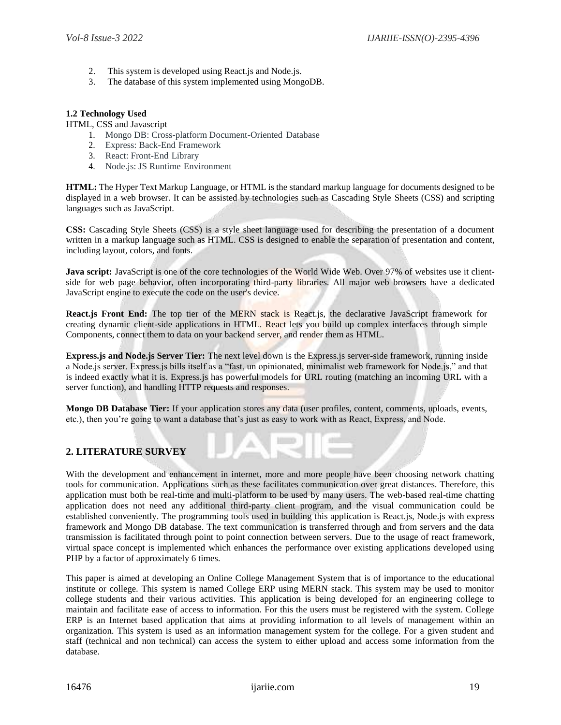- 2. This system is developed using React.js and Node.js.
- 3. The database of this system implemented using MongoDB.

## **1.2 Technology Used**

HTML, CSS and Javascript

- 1. Mongo DB: Cross-platform Document-Oriented Database
- 2. Express: Back-End Framework
- 3. React: Front-End Library
- 4. Node.js: JS Runtime Environment

**HTML:** The Hyper Text Markup Language, or HTML is the standard markup language for documents designed to be displayed in a web browser. It can be assisted by technologies such as Cascading Style Sheets (CSS) and scripting languages such as JavaScript.

**CSS:** Cascading Style Sheets (CSS) is a style sheet language used for describing the presentation of a document written in a markup language such as HTML. CSS is designed to enable the separation of presentation and content, including layout, colors, and fonts.

**Java script:** JavaScript is one of the core technologies of the World Wide Web. Over 97% of websites use it clientside for web page behavior, often incorporating third-party libraries. All major web browsers have a dedicated JavaScript engine to execute the code on the user's device.

**React.js Front End:** The top tier of the MERN stack is React.js, the declarative JavaScript framework for creating dynamic client-side applications in HTML. React lets you build up complex interfaces through simple Components, connect them to data on your backend server, and render them as HTML.

**Express.js and Node.js Server Tier:** The next level down is the Express.js server-side framework, running inside a Node.js server. Express.js bills itself as a "fast, un opinionated, minimalist web framework for Node.js," and that is indeed exactly what it is. Express.js has powerful models for URL routing (matching an incoming URL with a server function), and handling HTTP requests and responses.

**Mongo DB Database Tier:** If your application stores any data (user profiles, content, comments, uploads, events, etc.), then you're going to want a database that's just as easy to work with as React, Express, and Node.

## **2. LITERATURE SURVEY**

With the development and enhancement in internet, more and more people have been choosing network chatting tools for communication. Applications such as these facilitates communication over great distances. Therefore, this application must both be real-time and multi-platform to be used by many users. The web-based real-time chatting application does not need any additional third-party client program, and the visual communication could be established conveniently. The programming tools used in building this application is React.js, Node.js with express framework and Mongo DB database. The text communication is transferred through and from servers and the data transmission is facilitated through point to point connection between servers. Due to the usage of react framework, virtual space concept is implemented which enhances the performance over existing applications developed using PHP by a factor of approximately 6 times.

This paper is aimed at developing an Online College Management System that is of importance to the educational institute or college. This system is named College ERP using MERN stack. This system may be used to monitor college students and their various activities. This application is being developed for an engineering college to maintain and facilitate ease of access to information. For this the users must be registered with the system. College ERP is an Internet based application that aims at providing information to all levels of management within an organization. This system is used as an information management system for the college. For a given student and staff (technical and non technical) can access the system to either upload and access some information from the database.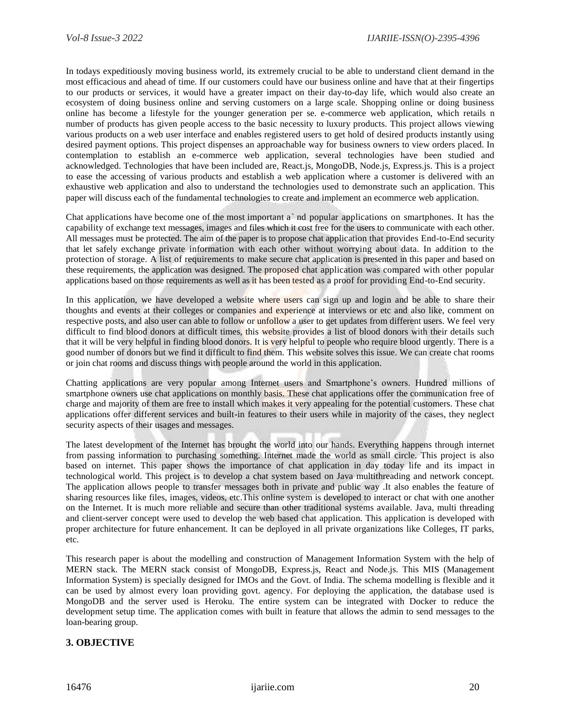In todays expeditiously moving business world, its extremely crucial to be able to understand client demand in the most efficacious and ahead of time. If our customers could have our business online and have that at their fingertips to our products or services, it would have a greater impact on their day-to-day life, which would also create an ecosystem of doing business online and serving customers on a large scale. Shopping online or doing business online has become a lifestyle for the younger generation per se. e-commerce web application, which retails n number of products has given people access to the basic necessity to luxury products. This project allows viewing various products on a web user interface and enables registered users to get hold of desired products instantly using desired payment options. This project dispenses an approachable way for business owners to view orders placed. In contemplation to establish an e-commerce web application, several technologies have been studied and acknowledged. Technologies that have been included are, React.js, MongoDB, Node.js, Express.js. This is a project to ease the accessing of various products and establish a web application where a customer is delivered with an exhaustive web application and also to understand the technologies used to demonstrate such an application. This paper will discuss each of the fundamental technologies to create and implement an ecommerce web application.

Chat applications have become one of the most important a` nd popular applications on smartphones. It has the capability of exchange text messages, images and files which it cost free for the users to communicate with each other. All messages must be protected. The aim of the paper is to propose chat application that provides End-to-End security that let safely exchange private information with each other without worrying about data. In addition to the protection of storage. A list of requirements to make secure chat application is presented in this paper and based on these requirements, the application was designed. The proposed chat application was compared with other popular applications based on those requirements as well as it has been tested as a proof for providing End-to-End security.

In this application, we have developed a website where users can sign up and login and be able to share their thoughts and events at their colleges or companies and experience at interviews or etc and also like, comment on respective posts, and also user can able to follow or unfollow a user to get updates from different users. We feel very difficult to find blood donors at difficult times, this website provides a list of blood donors with their details such that it will be very helpful in finding blood donors. It is very helpful to people who require blood urgently. There is a good number of donors but we find it difficult to find them. This website solves this issue. We can create chat rooms or join chat rooms and discuss things with people around the world in this application.

Chatting applications are very popular among Internet users and Smartphone's owners. Hundred millions of smartphone owners use chat applications on monthly basis. These chat applications offer the communication free of charge and majority of them are free to install which makes it very appealing for the potential customers. These chat applications offer different services and built-in features to their users while in majority of the cases, they neglect security aspects of their usages and messages.

The latest development of the Internet has brought the world into our hands. Everything happens through internet from passing information to purchasing something. Internet made the world as small circle. This project is also based on internet. This paper shows the importance of chat application in day today life and its impact in technological world. This project is to develop a chat system based on Java multithreading and network concept. The application allows people to transfer messages both in private and public way .It also enables the feature of sharing resources like files, images, videos, etc.This online system is developed to interact or chat with one another on the Internet. It is much more reliable and secure than other traditional systems available. Java, multi threading and client-server concept were used to develop the web based chat application. This application is developed with proper architecture for future enhancement. It can be deployed in all private organizations like Colleges, IT parks, etc.

This research paper is about the modelling and construction of Management Information System with the help of MERN stack. The MERN stack consist of MongoDB, Express.js, React and Node.js. This MIS (Management Information System) is specially designed for IMOs and the Govt. of India. The schema modelling is flexible and it can be used by almost every loan providing govt. agency. For deploying the application, the database used is MongoDB and the server used is Heroku. The entire system can be integrated with Docker to reduce the development setup time. The application comes with built in feature that allows the admin to send messages to the loan-bearing group.

## **3. OBJECTIVE**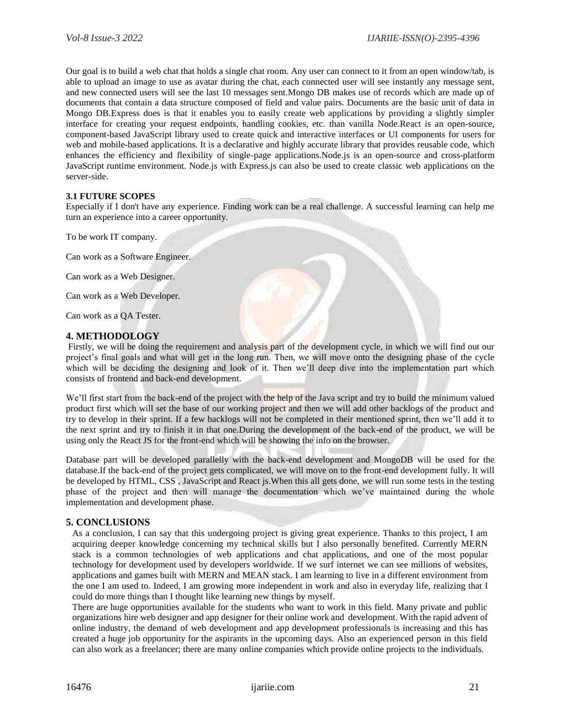Our goal is to build a web chat that holds a single chat room. Any user can connect to it from an open window/tab, is able to upload an image to use as avatar during the chat, each connected user will see instantly any message sent, and new connected users will see the last 10 messages sent.Mongo DB makes use of records which are made up of documents that contain a data structure composed of field and value pairs. Documents are the basic unit of data in Mongo DB.Express does is that it enables you to easily create web applications by providing a slightly simpler interface for creating your request endpoints, handling cookies, etc. than vanilla Node.React is an open-source, component-based JavaScript library used to create quick and interactive interfaces or UI components for users for web and mobile-based applications. It is a declarative and highly accurate library that provides reusable code, which enhances the efficiency and flexibility of single-page applications.Node.js is an open-source and cross-platform JavaScript runtime environment. Node.js with Express.js can also be used to create classic web applications on the server-side.

#### **3.1 FUTURE SCOPES**

Especially if I don't have any experience. Finding work can be a real challenge. A successful learning can help me turn an experience into a career opportunity.

To be work IT company.

Can work as a Software Engineer.

Can work as a Web Designer.

Can work as a Web Developer.

Can work as a QA Tester.

#### **4. METHODOLOGY**

Firstly, we will be doing the requirement and analysis part of the development cycle, in which we will find out our project's final goals and what will get in the long run. Then, we will move onto the designing phase of the cycle which will be deciding the designing and look of it. Then we'll deep dive into the implementation part which consists of frontend and back-end development.

We'll first start from the back-end of the project with the help of the Java script and try to build the minimum valued product first which will set the base of our working project and then we will add other backlogs of the product and try to develop in their sprint. If a few backlogs will not be completed in their mentioned sprint, then we'll add it to the next sprint and try to finish it in that one.During the development of the back-end of the product, we will be using only the React JS for the front-end which will be showing the info on the browser.

Database part will be developed parallelly with the back-end development and MongoDB will be used for the database.If the back-end of the project gets complicated, we will move on to the front-end development fully. It will be developed by HTML, CSS , JavaScript and React js.When this all gets done, we will run some tests in the testing phase of the project and then will manage the documentation which we've maintained during the whole implementation and development phase.

#### **5. CONCLUSIONS**

As a conclusion, I can say that this undergoing project is giving great experience. Thanks to this project, I am acquiring deeper knowledge concerning my technical skills but I also personally benefited. Currently MERN stack is a common technologies of web applications and chat applications, and one of the most popular technology for development used by developers worldwide. If we surf internet we can see millions of websites, applications and games built with MERN and MEAN stack. I am learning to live in a different environment from the one I am used to. Indeed, I am growing more independent in work and also in everyday life, realizing that I could do more things than I thought like learning new things by myself.

There are huge opportunities available for the students who want to work in this field. Many private and public organizations hire web designer and app designer for their online work and development. With the rapid advent of online industry, the demand of web development and app development professionals is increasing and this has created a huge job opportunity for the aspirants in the upcoming days. Also an experienced person in this field can also work as a freelancer; there are many online companies which provide online projects to the individuals.